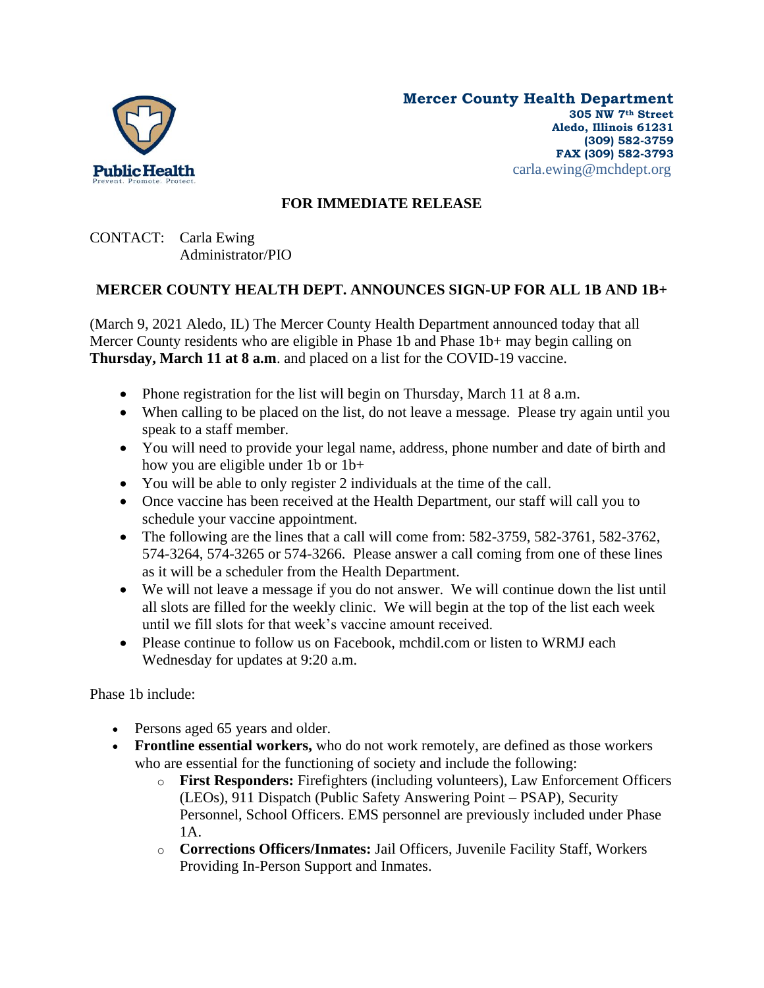

## **FOR IMMEDIATE RELEASE**

CONTACT: Carla Ewing Administrator/PIO

## **MERCER COUNTY HEALTH DEPT. ANNOUNCES SIGN-UP FOR ALL 1B AND 1B+**

(March 9, 2021 Aledo, IL) The Mercer County Health Department announced today that all Mercer County residents who are eligible in Phase 1b and Phase 1b+ may begin calling on **Thursday, March 11 at 8 a.m**. and placed on a list for the COVID-19 vaccine.

- Phone registration for the list will begin on Thursday, March 11 at 8 a.m.
- When calling to be placed on the list, do not leave a message. Please try again until you speak to a staff member.
- You will need to provide your legal name, address, phone number and date of birth and how you are eligible under 1b or 1b+
- You will be able to only register 2 individuals at the time of the call.
- Once vaccine has been received at the Health Department, our staff will call you to schedule your vaccine appointment.
- The following are the lines that a call will come from: 582-3759, 582-3761, 582-3762, 574-3264, 574-3265 or 574-3266. Please answer a call coming from one of these lines as it will be a scheduler from the Health Department.
- We will not leave a message if you do not answer. We will continue down the list until all slots are filled for the weekly clinic. We will begin at the top of the list each week until we fill slots for that week's vaccine amount received.
- Please continue to follow us on Facebook, mchdil.com or listen to WRMJ each Wednesday for updates at 9:20 a.m.

Phase 1b include:

- Persons aged 65 years and older.
- **Frontline essential workers,** who do not work remotely, are defined as those workers who are essential for the functioning of society and include the following:
	- o **First Responders:** Firefighters (including volunteers), Law Enforcement Officers (LEOs), 911 Dispatch (Public Safety Answering Point – PSAP), Security Personnel, School Officers. EMS personnel are previously included under Phase 1A.
	- o **Corrections Officers/Inmates:** Jail Officers, Juvenile Facility Staff, Workers Providing In-Person Support and Inmates.